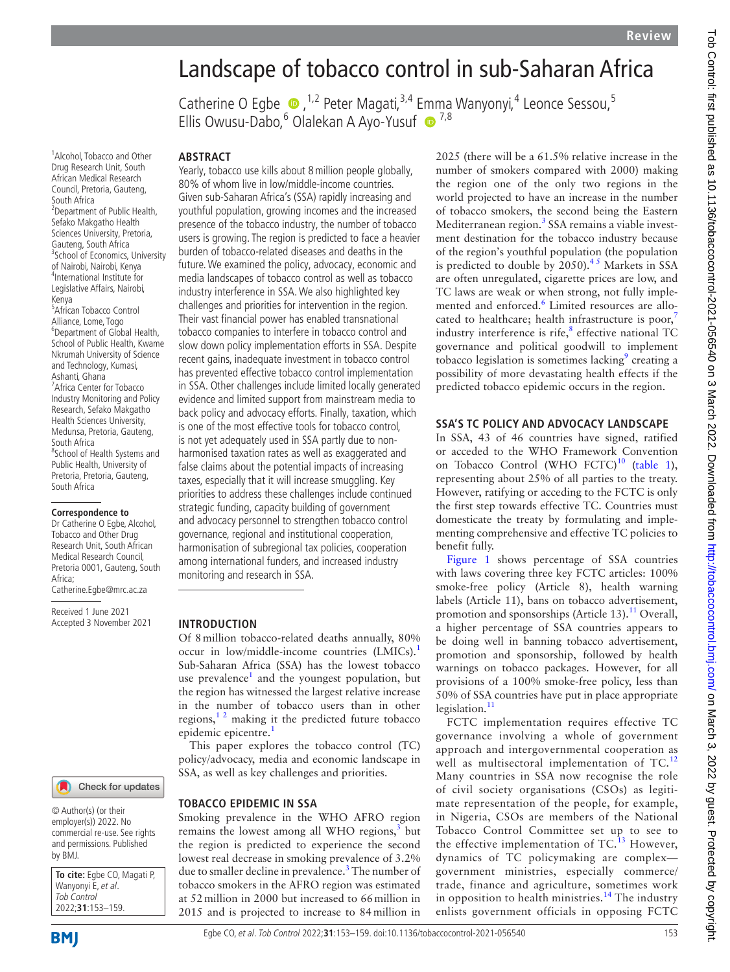# Landscape of tobacco control in sub-Saharan Africa

Catherine O Egbe  $\bullet$ , <sup>1,2</sup> Peter Magati, <sup>3,4</sup> E[mm](http://orcid.org/0000-0003-0689-7018)a Wanyonyi, <sup>4</sup> Leonce Sessou, <sup>5</sup> Ellis Owusu-Dabo, <sup>6</sup> Olalekan A Ayo-Yusuf <sup>1,8</sup>

<sup>1</sup> Alcohol, Tobacco and Other Drug Research Unit, South African Medical Research Council, Pretoria, Gauteng, South Africa <sup>2</sup> Department of Public Health, Sefako Makgatho Health Sciences University, Pretoria, Gauteng, South Africa <sup>3</sup> School of Economics, University of Nairobi, Nairobi, Kenya 4 International Institute for Legislative Affairs, Nairobi, Kenya 5 African Tobacco Control

Alliance, Lome, Togo 6 Department of Global Health, School of Public Health, Kwame Nkrumah University of Science and Technology, Kumasi, Ashanti, Ghana 7 Africa Center for Tobacco Industry Monitoring and Policy Research, Sefako Makgatho Health Sciences University, Medunsa, Pretoria, Gauteng, South Africa <sup>8</sup>School of Health Systems and Public Health, University of Pretoria, Pretoria, Gauteng, South Africa

#### **Correspondence to**

Dr Catherine O Egbe, Alcohol, Tobacco and Other Drug Research Unit, South African Medical Research Council, Pretoria 0001, Gauteng, South Africa;

Catherine.Egbe@mrc.ac.za

Received 1 June 2021 Accepted 3 November 2021

#### Check for updates

© Author(s) (or their employer(s)) 2022. No commercial re-use. See rights and permissions. Published by BMJ.

**To cite:** Egbe CO, Magati P, Wanyonyi E, et al. Tob Control 2022;**31**:153–159.

**BMI** 

# **ABSTRACT**

Yearly, tobacco use kills about 8million people globally, 80% of whom live in low/middle-income countries. Given sub-Saharan Africa's (SSA) rapidly increasing and youthful population, growing incomes and the increased presence of the tobacco industry, the number of tobacco users is growing. The region is predicted to face a heavier burden of tobacco-related diseases and deaths in the future. We examined the policy, advocacy, economic and media landscapes of tobacco control as well as tobacco industry interference in SSA. We also highlighted key challenges and priorities for intervention in the region. Their vast financial power has enabled transnational tobacco companies to interfere in tobacco control and slow down policy implementation efforts in SSA. Despite recent gains, inadequate investment in tobacco control has prevented effective tobacco control implementation in SSA. Other challenges include limited locally generated evidence and limited support from mainstream media to back policy and advocacy efforts. Finally, taxation, which is one of the most effective tools for tobacco control, is not yet adequately used in SSA partly due to nonharmonised taxation rates as well as exaggerated and false claims about the potential impacts of increasing taxes, especially that it will increase smuggling. Key priorities to address these challenges include continued strategic funding, capacity building of government and advocacy personnel to strengthen tobacco control governance, regional and institutional cooperation, harmonisation of subregional tax policies, cooperation among international funders, and increased industry monitoring and research in SSA.

#### **INTRODUCTION**

Of 8million tobacco-related deaths annually, 80% occur in low/middle-income countries (LMICs).<sup>[1](#page-5-0)</sup> Sub-Saharan Africa (SSA) has the lowest tobacco use prevalence<sup>1</sup> and the youngest population, but the region has witnessed the largest relative increase in the number of tobacco users than in other regions, $1<sup>2</sup>$  making it the predicted future tobacco epidemic epicentre.<sup>[1](#page-5-0)</sup>

This paper explores the tobacco control (TC) policy/advocacy, media and economic landscape in SSA, as well as key challenges and priorities.

#### **TOBACCO EPIDEMIC IN SSA**

Smoking prevalence in the WHO AFRO region remains the lowest among all WHO regions, $3$  but the region is predicted to experience the second lowest real decrease in smoking prevalence of 3.2% due to smaller decline in prevalence.<sup>3</sup> The number of tobacco smokers in the AFRO region was estimated at 52million in 2000 but increased to 66million in 2015 and is projected to increase to 84million in

2025 (there will be a 61.5% relative increase in the number of smokers compared with 2000) making the region one of the only two regions in the world projected to have an increase in the number of tobacco smokers, the second being the Eastern Mediterranean region.<sup>[3](#page-5-1)</sup> SSA remains a viable investment destination for the tobacco industry because of the region's youthful population (the population is predicted to double by  $2050$ .<sup>45</sup> Markets in SSA are often unregulated, cigarette prices are low, and TC laws are weak or when strong, not fully imple-mented and enforced.<sup>[6](#page-5-3)</sup> Limited resources are allo-cated to healthcare; health infrastructure is poor,<sup>[7](#page-5-4)</sup> industry interference is rife, $\frac{8}{3}$  effective national TC governance and political goodwill to implement tobacco legislation is sometimes lacking<sup>9</sup> creating a possibility of more devastating health effects if the predicted tobacco epidemic occurs in the region.

## **SSA'S TC POLICY AND ADVOCACY LANDSCAPE**

In SSA, 43 of 46 countries have signed, ratified or acceded to the WHO Framework Convention on Tobacco Control (WHO FCTC)<sup>[10](#page-5-7)</sup> ([table](#page-1-0) 1), representing about 25% of all parties to the treaty. However, ratifying or acceding to the FCTC is only the first step towards effective TC. Countries must domesticate the treaty by formulating and implementing comprehensive and effective TC policies to benefit fully.

[Figure](#page-2-0) 1 shows percentage of SSA countries with laws covering three key FCTC articles: 100% smoke-free policy (Article 8), health warning labels (Article 11), bans on tobacco advertisement, promotion and sponsorships (Article 13).<sup>11</sup> Overall, a higher percentage of SSA countries appears to be doing well in banning tobacco advertisement, promotion and sponsorship, followed by health warnings on tobacco packages. However, for all provisions of a 100% smoke-free policy, less than 50% of SSA countries have put in place appropriate legislation. $11$ 

FCTC implementation requires effective TC governance involving a whole of government approach and intergovernmental cooperation as well as multisectoral implementation of TC.<sup>[12](#page-5-9)</sup> Many countries in SSA now recognise the role of civil society organisations (CSOs) as legitimate representation of the people, for example, in Nigeria, CSOs are members of the National Tobacco Control Committee set up to see to the effective implementation of  $TC<sup>13</sup>$  However, dynamics of TC policymaking are complex government ministries, especially commerce/ trade, finance and agriculture, sometimes work in opposition to health ministries.<sup>[14](#page-5-11)</sup> The industry enlists government officials in opposing FCTC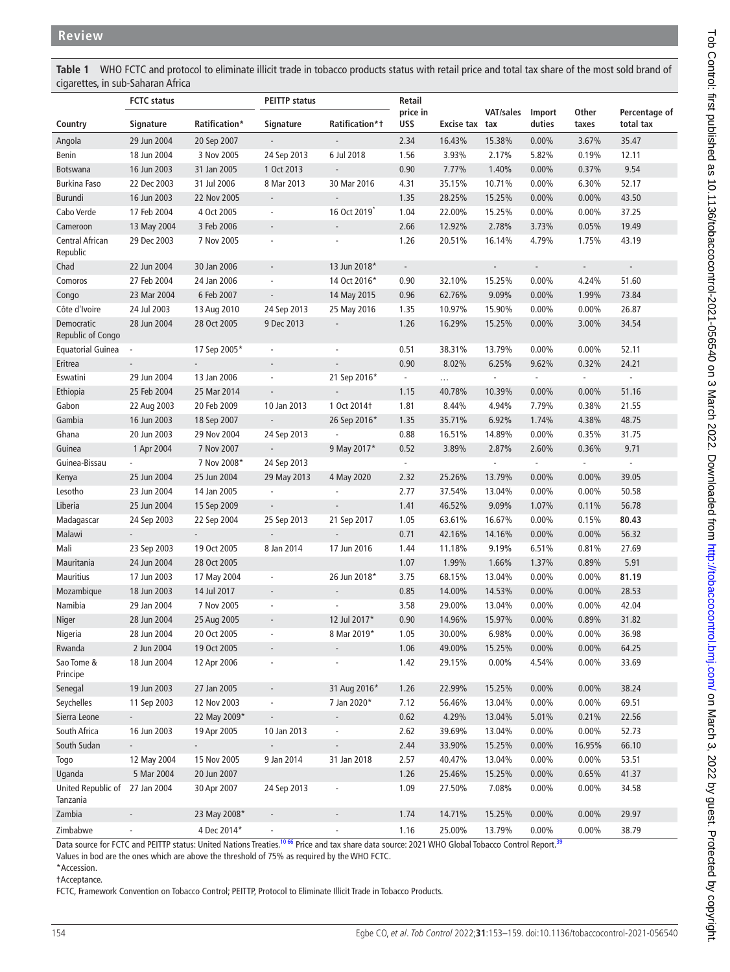<span id="page-1-0"></span>**Table 1** WHO FCTC and protocol to eliminate illicit trade in tobacco products status with retail price and total tax share of the most sold brand of cigarettes, in sub-Saharan Africa

|                                 | <b>FCTC</b> status           |                | <b>PEITTP status</b>     |                              | Retail                   |                |                             |                             |                |                            |
|---------------------------------|------------------------------|----------------|--------------------------|------------------------------|--------------------------|----------------|-----------------------------|-----------------------------|----------------|----------------------------|
| Country                         | Signature                    | Ratification*  | Signature                | Ratification*t               | price in<br>US\$         | Excise tax tax | <b>VAT/sales</b>            | Import<br>duties            | Other<br>taxes | Percentage of<br>total tax |
| Angola                          | 29 Jun 2004                  | 20 Sep 2007    | $\overline{\phantom{a}}$ | $\blacksquare$               | 2.34                     | 16.43%         | 15.38%                      | $0.00\%$                    | 3.67%          | 35.47                      |
| Benin                           | 18 Jun 2004                  | 3 Nov 2005     | 24 Sep 2013              | 6 Jul 2018                   | 1.56                     | 3.93%          | 2.17%                       | 5.82%                       | 0.19%          | 12.11                      |
| <b>Botswana</b>                 | 16 Jun 2003                  | 31 Jan 2005    | 1 Oct 2013               | $\overline{\phantom{a}}$     | 0.90                     | 7.77%          | 1.40%                       | $0.00\%$                    | 0.37%          | 9.54                       |
| <b>Burkina Faso</b>             | 22 Dec 2003                  | 31 Jul 2006    | 8 Mar 2013               | 30 Mar 2016                  | 4.31                     | 35.15%         | 10.71%                      | $0.00\%$                    | 6.30%          | 52.17                      |
| <b>Burundi</b>                  | 16 Jun 2003                  | 22 Nov 2005    | $\overline{\phantom{a}}$ | $\overline{a}$               | 1.35                     | 28.25%         | 15.25%                      | $0.00\%$                    | $0.00\%$       | 43.50                      |
| Cabo Verde                      | 17 Feb 2004                  | 4 Oct 2005     | $\overline{\phantom{a}}$ | 16 Oct 2019 <sup>*</sup>     | 1.04                     | 22.00%         | 15.25%                      | $0.00\%$                    | $0.00\%$       | 37.25                      |
| Cameroon                        | 13 May 2004                  | 3 Feb 2006     | $\overline{\phantom{a}}$ | $\overline{\phantom{a}}$     | 2.66                     | 12.92%         | 2.78%                       | 3.73%                       | 0.05%          | 19.49                      |
| Central African<br>Republic     | 29 Dec 2003                  | 7 Nov 2005     | $\overline{\phantom{a}}$ | $\centerdot$                 | 1.26                     | 20.51%         | 16.14%                      | 4.79%                       | 1.75%          | 43.19                      |
| Chad                            | 22 Jun 2004                  | 30 Jan 2006    | $\overline{\phantom{a}}$ | 13 Jun 2018*                 | $\overline{\phantom{a}}$ |                | $\overline{\phantom{a}}$    | $\overline{\phantom{a}}$    | $\sim$         | $\overline{\phantom{a}}$   |
| Comoros                         | 27 Feb 2004                  | 24 Jan 2006    | $\overline{\phantom{a}}$ | 14 Oct 2016*                 | 0.90                     | 32.10%         | 15.25%                      | $0.00\%$                    | 4.24%          | 51.60                      |
| Congo                           | 23 Mar 2004                  | 6 Feb 2007     | $\overline{\phantom{a}}$ | 14 May 2015                  | 0.96                     | 62.76%         | 9.09%                       | $0.00\%$                    | 1.99%          | 73.84                      |
| Côte d'Ivoire                   | 24 Jul 2003                  | 13 Aug 2010    | 24 Sep 2013              | 25 May 2016                  | 1.35                     | 10.97%         | 15.90%                      | $0.00\%$                    | $0.00\%$       | 26.87                      |
| Democratic<br>Republic of Congo | 28 Jun 2004                  | 28 Oct 2005    | 9 Dec 2013               | $\overline{\phantom{a}}$     | 1.26                     | 16.29%         | 15.25%                      | $0.00\%$                    | 3.00%          | 34.54                      |
| <b>Equatorial Guinea</b>        | $\sim$                       | 17 Sep 2005*   | $\overline{\phantom{a}}$ |                              | 0.51                     | 38.31%         | 13.79%                      | $0.00\%$                    | $0.00\%$       | 52.11                      |
| Eritrea                         | $\mathcal{L}_{\mathcal{A}}$  |                | $\overline{\phantom{a}}$ | $\blacksquare$               | 0.90                     | 8.02%          | 6.25%                       | 9.62%                       | 0.32%          | 24.21                      |
| Eswatini                        | 29 Jun 2004                  | 13 Jan 2006    | $\overline{\phantom{a}}$ | 21 Sep 2016*                 | $\omega_{\rm c}$         | $\cdots$       | $\mathcal{L}_{\mathcal{A}}$ | $\mathcal{L}_{\mathcal{C}}$ | $\sim$         | $\overline{\phantom{a}}$   |
| Ethiopia                        | 25 Feb 2004                  | 25 Mar 2014    | $\overline{\phantom{a}}$ | $\mathcal{L}^{\pm}$          | 1.15                     | 40.78%         | 10.39%                      | $0.00\%$                    | $0.00\%$       | 51.16                      |
| Gabon                           | 22 Aug 2003                  | 20 Feb 2009    | 10 Jan 2013              | 1 Oct 2014 <sup>+</sup>      | 1.81                     | 8.44%          | 4.94%                       | 7.79%                       | 0.38%          | 21.55                      |
| Gambia                          | 16 Jun 2003                  | 18 Sep 2007    | $\overline{\phantom{a}}$ | 26 Sep 2016*                 | 1.35                     | 35.71%         | 6.92%                       | 1.74%                       | 4.38%          | 48.75                      |
| Ghana                           | 20 Jun 2003                  | 29 Nov 2004    | 24 Sep 2013              |                              | 0.88                     | 16.51%         | 14.89%                      | $0.00\%$                    | 0.35%          | 31.75                      |
| Guinea                          | 1 Apr 2004                   | 7 Nov 2007     | $\overline{\phantom{a}}$ | 9 May 2017*                  | 0.52                     | 3.89%          | 2.87%                       | 2.60%                       | 0.36%          | 9.71                       |
| Guinea-Bissau                   |                              | 7 Nov 2008*    | 24 Sep 2013              |                              | $\blacksquare$           |                | $\overline{\phantom{a}}$    | $\sim$                      | $\blacksquare$ | $\omega$                   |
| Kenya                           | 25 Jun 2004                  | 25 Jun 2004    | 29 May 2013              | 4 May 2020                   | 2.32                     | 25.26%         | 13.79%                      | $0.00\%$                    | $0.00\%$       | 39.05                      |
| Lesotho                         | 23 Jun 2004                  | 14 Jan 2005    | $\overline{\phantom{a}}$ |                              | 2.77                     | 37.54%         | 13.04%                      | 0.00%                       | $0.00\%$       | 50.58                      |
| Liberia                         | 25 Jun 2004                  | 15 Sep 2009    | $\overline{\phantom{a}}$ | $\frac{1}{2}$                | 1.41                     | 46.52%         | 9.09%                       | 1.07%                       | 0.11%          | 56.78                      |
| Madagascar                      | 24 Sep 2003                  | 22 Sep 2004    | 25 Sep 2013              | 21 Sep 2017                  | 1.05                     | 63.61%         | 16.67%                      | 0.00%                       | 0.15%          | 80.43                      |
| Malawi                          |                              | $\sim$         | $\overline{\phantom{a}}$ | $\sim$                       | 0.71                     | 42.16%         | 14.16%                      | 0.00%                       | $0.00\%$       | 56.32                      |
| Mali                            | 23 Sep 2003                  | 19 Oct 2005    | 8 Jan 2014               | 17 Jun 2016                  | 1.44                     | 11.18%         | 9.19%                       | 6.51%                       | 0.81%          | 27.69                      |
| Mauritania                      | 24 Jun 2004                  | 28 Oct 2005    |                          |                              | 1.07                     | 1.99%          | 1.66%                       | 1.37%                       | 0.89%          | 5.91                       |
| <b>Mauritius</b>                | 17 Jun 2003                  | 17 May 2004    | $\overline{\phantom{a}}$ | 26 Jun 2018*                 | 3.75                     | 68.15%         | 13.04%                      | 0.00%                       | $0.00\%$       | 81.19                      |
| Mozambique                      | 18 Jun 2003                  | 14 Jul 2017    | $\overline{\phantom{a}}$ |                              | 0.85                     | 14.00%         | 14.53%                      | $0.00\%$                    | $0.00\%$       | 28.53                      |
| Namibia                         | 29 Jan 2004                  | 7 Nov 2005     | $\overline{\phantom{a}}$ |                              | 3.58                     | 29.00%         | 13.04%                      | $0.00\%$                    | $0.00\%$       | 42.04                      |
| Niger                           | 28 Jun 2004                  | 25 Aug 2005    | $\overline{\phantom{a}}$ | 12 Jul 2017*                 | 0.90                     | 14.96%         | 15.97%                      | $0.00\%$                    | 0.89%          | 31.82                      |
| Nigeria                         | 28 Jun 2004                  | 20 Oct 2005    | ÷,                       | 8 Mar 2019*                  | 1.05                     | 30.00%         | 6.98%                       | $0.00\%$                    | $0.00\%$       | 36.98                      |
| Rwanda                          | 2 Jun 2004                   | 19 Oct 2005    |                          |                              | 1.06                     | 49.00%         | 15.25%                      | $0.00\%$                    | $0.00\%$       | 64.25                      |
| Sao Tome &<br>Principe          | 18 Jun 2004                  | 12 Apr 2006    |                          |                              | 1.42                     | 29.15%         | $0.00\%$                    | 4.54%                       | $0.00\%$       | 33.69                      |
| Senegal                         | 19 Jun 2003                  | 27 Jan 2005    | $\overline{\phantom{a}}$ | 31 Aug 2016*                 | 1.26                     | 22.99%         | 15.25%                      | $0.00\%$                    | $0.00\%$       | 38.24                      |
| Seychelles                      | 11 Sep 2003                  | 12 Nov 2003    | $\overline{\phantom{a}}$ | 7 Jan 2020*                  | 7.12                     | 56.46%         | 13.04%                      | $0.00\%$                    | $0.00\%$       | 69.51                      |
| Sierra Leone                    |                              | 22 May 2009*   | $\overline{\phantom{a}}$ |                              | 0.62                     | 4.29%          | 13.04%                      | 5.01%                       | 0.21%          | 22.56                      |
| South Africa                    | 16 Jun 2003                  | 19 Apr 2005    | 10 Jan 2013              |                              | 2.62                     | 39.69%         | 13.04%                      | $0.00\%$                    | $0.00\%$       | 52.73                      |
| South Sudan                     | $\overline{\phantom{a}}$     | $\blacksquare$ | $\overline{\phantom{a}}$ | $\qquad \qquad \blacksquare$ | 2.44                     | 33.90%         | 15.25%                      | $0.00\%$                    | 16.95%         | 66.10                      |
| Togo                            | 12 May 2004                  | 15 Nov 2005    | 9 Jan 2014               | 31 Jan 2018                  | 2.57                     | 40.47%         | 13.04%                      | $0.00\%$                    | $0.00\%$       | 53.51                      |
| Uganda                          | 5 Mar 2004                   | 20 Jun 2007    |                          |                              | 1.26                     | 25.46%         | 15.25%                      | $0.00\%$                    | 0.65%          | 41.37                      |
| United Republic of<br>Tanzania  | 27 Jan 2004                  | 30 Apr 2007    | 24 Sep 2013              |                              | 1.09                     | 27.50%         | 7.08%                       | $0.00\%$                    | $0.00\%$       | 34.58                      |
| Zambia                          | $\qquad \qquad \blacksquare$ | 23 May 2008*   | $\overline{\phantom{a}}$ | $\overline{\phantom{a}}$     | 1.74                     | 14.71%         | 15.25%                      | $0.00\%$                    | $0.00\%$       | 29.97                      |
| Zimbabwe                        | $\overline{\phantom{a}}$     | 4 Dec 2014*    | $\overline{\phantom{a}}$ | $\overline{\phantom{a}}$     | 1.16                     | 25.00%         | 13.79%                      | $0.00\%$                    | $0.00\%$       | 38.79                      |

Data source for FCTC and PEITTP status: United Nations Treaties.<sup>10 66</sup> Price and tax share data source: 2021 WHO Global Tobacco Control Report.<sup>39</sup>

Values in bod are the ones which are above the threshold of 75% as required by the WHO FCTC.

\*Accession. †Acceptance.

FCTC, Framework Convention on Tobacco Control; PEITTP, Protocol to Eliminate Illicit Trade in Tobacco Products.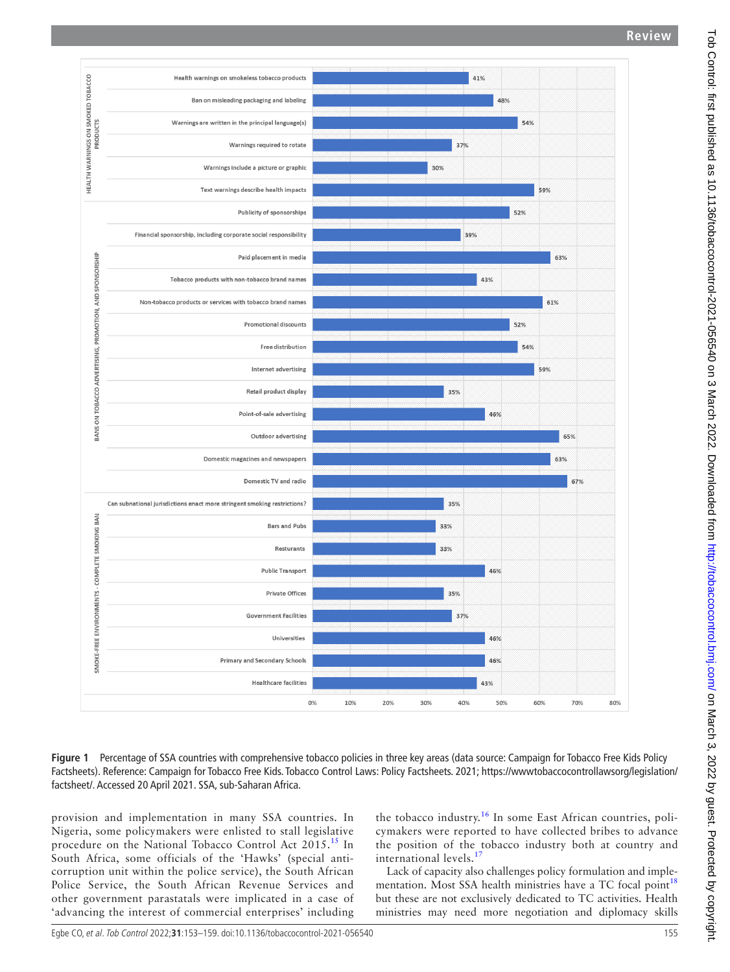

<span id="page-2-0"></span>**Figure 1** Percentage of SSA countries with comprehensive tobacco policies in three key areas (data source: Campaign for Tobacco Free Kids Policy Factsheets). Reference: Campaign for Tobacco Free Kids. Tobacco Control Laws: Policy Factsheets. 2021; [https://wwwtobaccocontrollawsorg/legislation/](https://wwwtobaccocontrollawsorg/legislation/factsheet/) [factsheet/](https://wwwtobaccocontrollawsorg/legislation/factsheet/). Accessed 20 April 2021. SSA, sub-Saharan Africa.

provision and implementation in many SSA countries. In Nigeria, some policymakers were enlisted to stall legislative procedure on the National Tobacco Control Act 2015.<sup>15</sup> In South Africa, some officials of the 'Hawks' (special anticorruption unit within the police service), the South African Police Service, the South African Revenue Services and other government parastatals were implicated in a case of 'advancing the interest of commercial enterprises' including the tobacco industry.<sup>[16](#page-5-14)</sup> In some East African countries, policymakers were reported to have collected bribes to advance the position of the tobacco industry both at country and international levels. $^{17}$  $^{17}$  $^{17}$ 

Lack of capacity also challenges policy formulation and imple-mentation. Most SSA health ministries have a TC focal point<sup>[18](#page-5-16)</sup> but these are not exclusively dedicated to TC activities. Health ministries may need more negotiation and diplomacy skills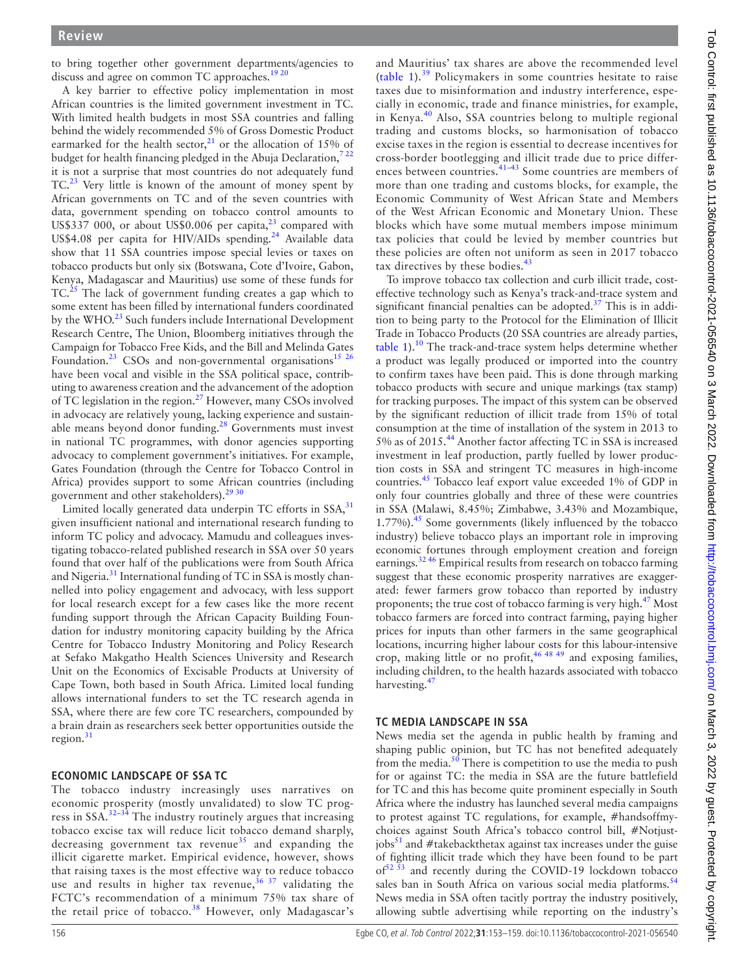to bring together other government departments/agencies to discuss and agree on common TC approaches.<sup>[19 20](#page-5-17)</sup>

A key barrier to effective policy implementation in most African countries is the limited government investment in TC. With limited health budgets in most SSA countries and falling behind the widely recommended 5% of Gross Domestic Product earmarked for the health sector, $^{21}$  or the allocation of 15% of budget for health financing pledged in the Abuja Declaration,  $722$ it is not a surprise that most countries do not adequately fund TC.[23](#page-5-19) Very little is known of the amount of money spent by African governments on TC and of the seven countries with data, government spending on tobacco control amounts to US\$337 000, or about US\$0.006 per capita, $^{23}$  compared with US\$4.08 per capita for HIV/AIDs spending.<sup>[24](#page-5-20)</sup> Available data show that 11 SSA countries impose special levies or taxes on tobacco products but only six (Botswana, Cote d'Ivoire, Gabon, Kenya, Madagascar and Mauritius) use some of these funds for  $TC<sup>25</sup>$  The lack of government funding creates a gap which to some extent has been filled by international funders coordinated by the WHO.<sup>[23](#page-5-19)</sup> Such funders include International Development Research Centre, The Union, Bloomberg initiatives through the Campaign for Tobacco Free Kids, and the Bill and Melinda Gates Foundation.<sup>[23](#page-5-19)</sup> CSOs and non-governmental organisations<sup>15</sup> <sup>26</sup> have been vocal and visible in the SSA political space, contributing to awareness creation and the advancement of the adoption of TC legislation in the region[.27](#page-5-22) However, many CSOs involved in advocacy are relatively young, lacking experience and sustainable means beyond donor funding.<sup>28</sup> Governments must invest in national TC programmes, with donor agencies supporting advocacy to complement government's initiatives. For example, Gates Foundation (through the Centre for Tobacco Control in Africa) provides support to some African countries (including government and other stakeholders).<sup>[29 30](#page-5-24)</sup>

Limited locally generated data underpin TC efforts in  $SSA$ , $31$ given insufficient national and international research funding to inform TC policy and advocacy. Mamudu and colleagues investigating tobacco-related published research in SSA over 50 years found that over half of the publications were from South Africa and Nigeria.<sup>31</sup> International funding of TC in SSA is mostly channelled into policy engagement and advocacy, with less support for local research except for a few cases like the more recent funding support through the African Capacity Building Foundation for industry monitoring capacity building by the Africa Centre for Tobacco Industry Monitoring and Policy Research at Sefako Makgatho Health Sciences University and Research Unit on the Economics of Excisable Products at University of Cape Town, both based in South Africa. Limited local funding allows international funders to set the TC research agenda in SSA, where there are few core TC researchers, compounded by a brain drain as researchers seek better opportunities outside the region. $31$ 

## **ECONOMIC LANDSCAPE OF SSA TC**

The tobacco industry increasingly uses narratives on economic prosperity (mostly unvalidated) to slow TC progress in SSA.[32–34](#page-5-26) The industry routinely argues that increasing tobacco excise tax will reduce licit tobacco demand sharply, decreasing government tax revenue<sup>[35](#page-5-27)</sup> and expanding the illicit cigarette market. Empirical evidence, however, shows that raising taxes is the most effective way to reduce tobacco use and results in higher tax revenue,  $36\frac{37}{100}$  validating the FCTC's recommendation of a minimum 75% tax share of the retail price of tobacco.<sup>38</sup> However, only Madagascar's

and Mauritius' tax shares are above the recommended level ([table](#page-1-0) 1).[39](#page-5-12) Policymakers in some countries hesitate to raise taxes due to misinformation and industry interference, especially in economic, trade and finance ministries, for example, in Kenya.[40](#page-5-30) Also, SSA countries belong to multiple regional trading and customs blocks, so harmonisation of tobacco excise taxes in the region is essential to decrease incentives for cross-border bootlegging and illicit trade due to price differences between countries.[41–43](#page-5-31) Some countries are members of more than one trading and customs blocks, for example, the Economic Community of West African State and Members of the West African Economic and Monetary Union. These blocks which have some mutual members impose minimum tax policies that could be levied by member countries but these policies are often not uniform as seen in 2017 tobacco tax directives by these bodies.<sup>[43](#page-5-32)</sup>

To improve tobacco tax collection and curb illicit trade, costeffective technology such as Kenya's track-and-trace system and significant financial penalties can be adopted. $37$  This is in addition to being party to the Protocol for the Elimination of Illicit Trade in Tobacco Products (20 SSA countries are already parties, [table](#page-1-0) 1).<sup>[10](#page-5-7)</sup> The track-and-trace system helps determine whether a product was legally produced or imported into the country to confirm taxes have been paid. This is done through marking tobacco products with secure and unique markings (tax stamp) for tracking purposes. The impact of this system can be observed by the significant reduction of illicit trade from 15% of total consumption at the time of installation of the system in 2013 to 5% as of 2015.<sup>[44](#page-5-34)</sup> Another factor affecting TC in SSA is increased investment in leaf production, partly fuelled by lower production costs in SSA and stringent TC measures in high-income countries.[45](#page-5-35) Tobacco leaf export value exceeded 1% of GDP in only four countries globally and three of these were countries in SSA (Malawi, 8.45%; Zimbabwe, 3.43% and Mozambique, 1.77%).<sup>[45](#page-5-35)</sup> Some governments (likely influenced by the tobacco industry) believe tobacco plays an important role in improving economic fortunes through employment creation and foreign earnings.[32 46](#page-5-26) Empirical results from research on tobacco farming suggest that these economic prosperity narratives are exaggerated: fewer farmers grow tobacco than reported by industry proponents; the true cost of tobacco farming is very high.<sup>[47](#page-5-36)</sup> Most tobacco farmers are forced into contract farming, paying higher prices for inputs than other farmers in the same geographical locations, incurring higher labour costs for this labour-intensive crop, making little or no profit,[46 48 49](#page-5-37) and exposing families, including children, to the health hazards associated with tobacco harvesting.[47](#page-5-36)

#### **TC MEDIA LANDSCAPE IN SSA**

News media set the agenda in public health by framing and shaping public opinion, but TC has not benefited adequately from the media. $50$  There is competition to use the media to push for or against TC: the media in SSA are the future battlefield for TC and this has become quite prominent especially in South Africa where the industry has launched several media campaigns to protest against TC regulations, for example, #handsoffmychoices against South Africa's tobacco control bill, #Notjustjobs $<sup>51</sup>$  and #takebackthetax against tax increases under the guise</sup> of fighting illicit trade which they have been found to be part  $of<sup>52 53</sup>$  and recently during the COVID-19 lockdown tobacco sales ban in South Africa on various social media platforms.<sup>[54](#page-5-41)</sup> News media in SSA often tacitly portray the industry positively, allowing subtle advertising while reporting on the industry's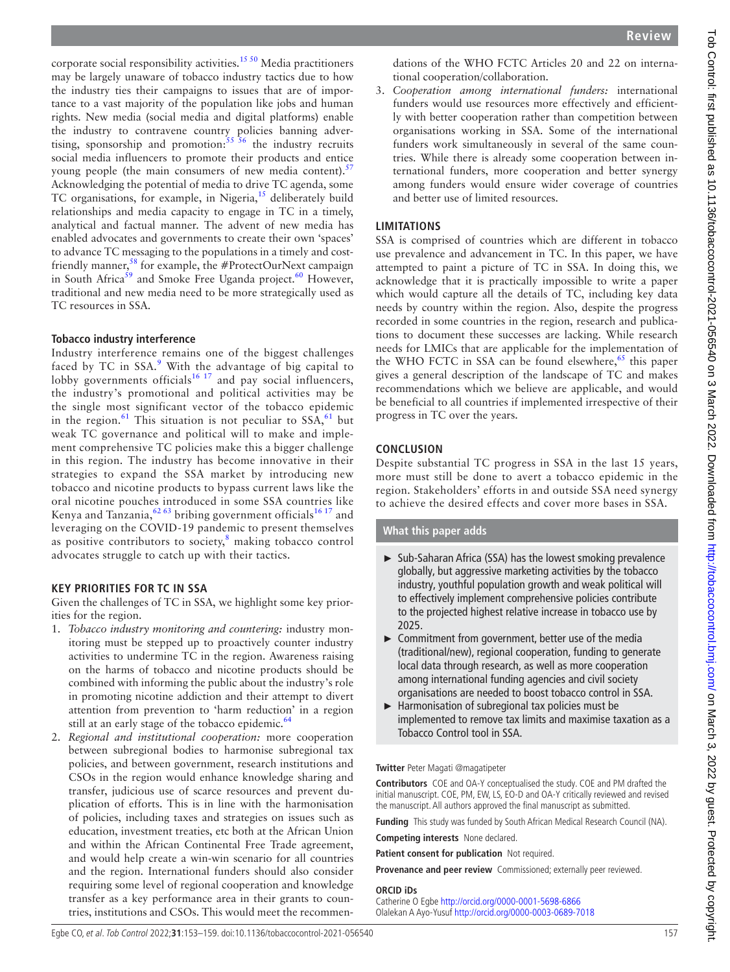corporate social responsibility activities.<sup>[15 50](#page-5-13)</sup> Media practitioners may be largely unaware of tobacco industry tactics due to how the industry ties their campaigns to issues that are of importance to a vast majority of the population like jobs and human rights. New media (social media and digital platforms) enable the industry to contravene country policies banning advertising, sponsorship and promotion: $55\frac{56}{10}$  the industry recruits social media influencers to promote their products and entice young people (the main consumers of new media content).<sup>[57](#page-5-43)</sup> Acknowledging the potential of media to drive TC agenda, some TC organisations, for example, in Nigeria, $15$  deliberately build relationships and media capacity to engage in TC in a timely, analytical and factual manner. The advent of new media has enabled advocates and governments to create their own 'spaces' to advance TC messaging to the populations in a timely and cost-friendly manner,<sup>[58](#page-5-44)</sup> for example, the #ProtectOurNext campaign in South Africa<sup>[59](#page-6-0)</sup> and Smoke Free Uganda project.<sup>60</sup> However, traditional and new media need to be more strategically used as TC resources in SSA.

## **Tobacco industry interference**

Industry interference remains one of the biggest challenges faced by TC in SSA.<sup>[9](#page-5-6)</sup> With the advantage of big capital to lobby governments officials<sup>[16 17](#page-5-14)</sup> and pay social influencers, the industry's promotional and political activities may be the single most significant vector of the tobacco epidemic in the region.<sup>61</sup> This situation is not peculiar to  $SSA$ ,<sup>61</sup> but weak TC governance and political will to make and implement comprehensive TC policies make this a bigger challenge in this region. The industry has become innovative in their strategies to expand the SSA market by introducing new tobacco and nicotine products to bypass current laws like the oral nicotine pouches introduced in some SSA countries like Kenya and Tanzania,  $6263$  bribing government officials<sup>16 17</sup> and leveraging on the COVID-19 pandemic to present themselves as positive contributors to society, $\frac{8}{3}$  $\frac{8}{3}$  $\frac{8}{3}$  making tobacco control advocates struggle to catch up with their tactics.

# **KEY PRIORITIES FOR TC IN SSA**

Given the challenges of TC in SSA, we highlight some key priorities for the region.

- 1. *Tobacco industry monitoring and countering:* industry monitoring must be stepped up to proactively counter industry activities to undermine TC in the region. Awareness raising on the harms of tobacco and nicotine products should be combined with informing the public about the industry's role in promoting nicotine addiction and their attempt to divert attention from prevention to 'harm reduction' in a region still at an early stage of the tobacco epidemic.<sup>64</sup>
- 2. *Regional and institutional cooperation:* more cooperation between subregional bodies to harmonise subregional tax policies, and between government, research institutions and CSOs in the region would enhance knowledge sharing and transfer, judicious use of scarce resources and prevent duplication of efforts. This is in line with the harmonisation of policies, including taxes and strategies on issues such as education, investment treaties, etc both at the African Union and within the African Continental Free Trade agreement, and would help create a win-win scenario for all countries and the region. International funders should also consider requiring some level of regional cooperation and knowledge transfer as a key performance area in their grants to countries, institutions and CSOs. This would meet the recommen-

dations of the WHO FCTC Articles 20 and 22 on international cooperation/collaboration.

3. *Cooperation among international funders:* international funders would use resources more effectively and efficiently with better cooperation rather than competition between organisations working in SSA. Some of the international funders work simultaneously in several of the same countries. While there is already some cooperation between international funders, more cooperation and better synergy among funders would ensure wider coverage of countries and better use of limited resources.

# **LIMITATIONS**

SSA is comprised of countries which are different in tobacco use prevalence and advancement in TC. In this paper, we have attempted to paint a picture of TC in SSA. In doing this, we acknowledge that it is practically impossible to write a paper which would capture all the details of TC, including key data needs by country within the region. Also, despite the progress recorded in some countries in the region, research and publications to document these successes are lacking. While research needs for LMICs that are applicable for the implementation of the WHO FCTC in SSA can be found elsewhere,  $65$  this paper gives a general description of the landscape of TC and makes recommendations which we believe are applicable, and would be beneficial to all countries if implemented irrespective of their progress in TC over the years.

# **CONCLUSION**

Despite substantial TC progress in SSA in the last 15 years, more must still be done to avert a tobacco epidemic in the region. Stakeholders' efforts in and outside SSA need synergy to achieve the desired effects and cover more bases in SSA.

# **What this paper adds**

- ► Sub-Saharan Africa (SSA) has the lowest smoking prevalence globally, but aggressive marketing activities by the tobacco industry, youthful population growth and weak political will to effectively implement comprehensive policies contribute to the projected highest relative increase in tobacco use by 2025.
- ► Commitment from government, better use of the media (traditional/new), regional cooperation, funding to generate local data through research, as well as more cooperation among international funding agencies and civil society organisations are needed to boost tobacco control in SSA.
- ► Harmonisation of subregional tax policies must be implemented to remove tax limits and maximise taxation as a Tobacco Control tool in SSA.

## **Twitter** Peter Magati [@magatipeter](https://twitter.com/magatipeter)

**Contributors** COE and OA-Y conceptualised the study. COE and PM drafted the initial manuscript. COE, PM, EW, LS, EO-D and OA-Y critically reviewed and revised the manuscript. All authors approved the final manuscript as submitted.

**Funding** This study was funded by South African Medical Research Council (NA).

**Competing interests** None declared.

**Patient consent for publication** Not required.

**Provenance and peer review** Commissioned; externally peer reviewed.

## **ORCID iDs**

Catherine O Egbe <http://orcid.org/0000-0001-5698-6866> Olalekan A Ayo-Yusuf <http://orcid.org/0000-0003-0689-7018>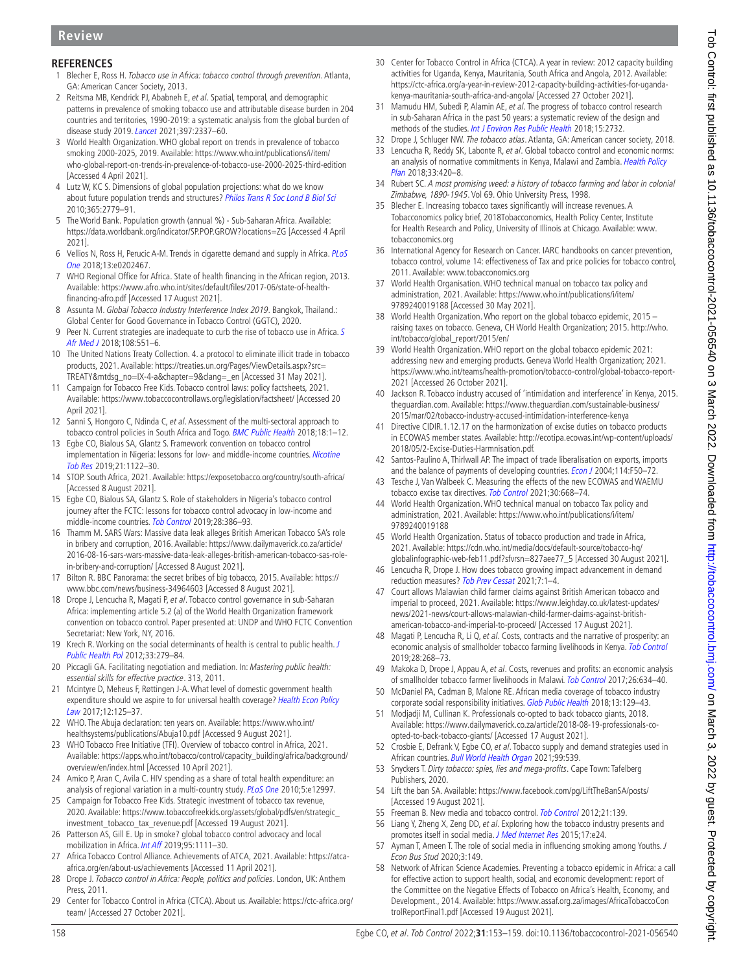# **REFERENCES**

- <span id="page-5-0"></span>Blecher E, Ross H. Tobacco use in Africa: tobacco control through prevention. Atlanta, GA: American Cancer Society, 2013.
- 2 Reitsma MB, Kendrick PJ, Ababneh E, et al. Spatial, temporal, and demographic patterns in prevalence of smoking tobacco use and attributable disease burden in 204 countries and territories, 1990-2019: a systematic analysis from the global burden of disease study 2019. [Lancet](http://dx.doi.org/10.1016/S0140-6736(21)01169-7) 2021;397:2337–60.
- <span id="page-5-1"></span>3 World Health Organization. WHO global report on trends in prevalence of tobacco smoking 2000-2025, 2019. Available: [https://www.who.int/publications/i/item/](https://www.who.int/publications/i/item/who-global-report-on-trends-in-prevalence-of-tobacco-use-2000-2025-third-edition) [who-global-report-on-trends-in-prevalence-of-tobacco-use-2000-2025-third-edition](https://www.who.int/publications/i/item/who-global-report-on-trends-in-prevalence-of-tobacco-use-2000-2025-third-edition)  [Accessed 4 April 2021].
- <span id="page-5-2"></span>4 Lutz W, KC S. Dimensions of global population projections: what do we know about future population trends and structures? *[Philos Trans R Soc Lond B Biol Sci](http://dx.doi.org/10.1098/rstb.2010.0133)* 2010;365:2779–91.
- 5 The World Bank. Population growth (annual %) Sub-Saharan Africa. Available: <https://data.worldbank.org/indicator/SP.POP.GROW?locations=ZG>[Accessed 4 April 2021].
- <span id="page-5-3"></span>6 Vellios N, Ross H, Perucic A-M. Trends in cigarette demand and supply in Africa. [PLoS](http://dx.doi.org/10.1371/journal.pone.0202467)  [One](http://dx.doi.org/10.1371/journal.pone.0202467) 2018;13:e0202467.
- <span id="page-5-4"></span>7 WHO Regional Office for Africa. State of health financing in the African region, 2013. Available: [https://www.afro.who.int/sites/default/files/2017-06/state-of-health](https://www.afro.who.int/sites/default/files/2017-06/state-of-health-financing-afro.pdf)[financing-afro.pdf](https://www.afro.who.int/sites/default/files/2017-06/state-of-health-financing-afro.pdf) [Accessed 17 August 2021].
- <span id="page-5-5"></span>8 Assunta M. Global Tobacco Industry Interference Index 2019. Bangkok, Thailand.: Global Center for Good Governance in Tobacco Control (GGTC), 2020.
- <span id="page-5-6"></span>9 Peer N. Current strategies are inadequate to curb the rise of tobacco use in Africa. [S](http://dx.doi.org/10.7196/SAMJ.2018.v108i7.12978)  [Afr Med J](http://dx.doi.org/10.7196/SAMJ.2018.v108i7.12978) 2018;108:551-6.
- <span id="page-5-7"></span>10 The United Nations Treaty Collection. 4. a protocol to eliminate illicit trade in tobacco products, 2021. Available: [https://treaties.un.org/Pages/ViewDetails.aspx?src=](https://treaties.un.org/Pages/ViewDetails.aspx?src=TREATY&mtdsg_no=IX-4-a&chapter=9&clang=_en) [TREATY&mtdsg\\_no=IX-4-a&chapter=9&clang=\\_en](https://treaties.un.org/Pages/ViewDetails.aspx?src=TREATY&mtdsg_no=IX-4-a&chapter=9&clang=_en) [Accessed 31 May 2021].
- <span id="page-5-8"></span>11 Campaign for Tobacco Free Kids. Tobacco control laws: policy factsheets, 2021. Available: <https://www.tobaccocontrollaws.org/legislation/factsheet/> [Accessed 20 April 2021].
- <span id="page-5-9"></span>12 Sanni S, Hongoro C, Ndinda C, et al. Assessment of the multi-sectoral approach to tobacco control policies in South Africa and Togo. [BMC Public Health](http://dx.doi.org/10.1186/s12889-018-5829-3) 2018;18:1-12.
- <span id="page-5-10"></span>13 Egbe CO, Bialous SA, Glantz S. Framework convention on tobacco control implementation in Nigeria: lessons for low- and middle-income countries. Nicotine [Tob Res](http://dx.doi.org/10.1093/ntr/nty069) 2019;21:1122–30.
- <span id="page-5-11"></span>14 STOP. South Africa, 2021. Available: <https://exposetobacco.org/country/south-africa/> [Accessed 8 August 2021].
- <span id="page-5-13"></span>15 Egbe CO, Bialous SA, Glantz S. Role of stakeholders in Nigeria's tobacco control journey after the FCTC: lessons for tobacco control advocacy in low-income and middle-income countries. [Tob Control](http://dx.doi.org/10.1136/tobaccocontrol-2018-054344) 2019;28:386–93.
- <span id="page-5-14"></span>16 Thamm M. SARS Wars: Massive data leak alleges British American Tobacco SA's role in bribery and corruption, 2016. Available: [https://www.dailymaverick.co.za/article/](https://www.dailymaverick.co.za/article/2016-08-16-sars-wars-massive-data-leak-alleges-british-american-tobacco-sas-role-in-bribery-and-corruption/) [2016-08-16-sars-wars-massive-data-leak-alleges-british-american-tobacco-sas-role](https://www.dailymaverick.co.za/article/2016-08-16-sars-wars-massive-data-leak-alleges-british-american-tobacco-sas-role-in-bribery-and-corruption/)[in-bribery-and-corruption/](https://www.dailymaverick.co.za/article/2016-08-16-sars-wars-massive-data-leak-alleges-british-american-tobacco-sas-role-in-bribery-and-corruption/) [Accessed 8 August 2021].
- <span id="page-5-15"></span>17 Bilton R. BBC Panorama: the secret bribes of big tobacco, 2015. Available: [https://](https://www.bbc.com/news/business-34964603) [www.bbc.com/news/business-34964603](https://www.bbc.com/news/business-34964603) [Accessed 8 August 2021].
- <span id="page-5-16"></span>18 Drope J, Lencucha R, Magati P, et al. Tobacco control governance in sub-Saharan Africa: implementing article 5.2 (a) of the World Health Organization framework convention on tobacco control. Paper presented at: UNDP and WHO FCTC Convention Secretariat: New York, NY, 2016.
- <span id="page-5-17"></span>19 Krech R. Working on the social determinants of health is central to public health. J [Public Health Pol](http://dx.doi.org/10.1057/jphp.2012.10) 2012;33:279–84.
- 20 Piccagli GA. Facilitating negotiation and mediation. In: Mastering public health: essential skills for effective practice. 313, 2011.
- <span id="page-5-18"></span>21 Mcintyre D, Meheus F, Røttingen J-A. What level of domestic government health expenditure should we aspire to for universal health coverage? Health Econ Policy [Law](http://dx.doi.org/10.1017/S1744133116000414) 2017;12:125–37.
- 22 WHO. The Abuja declaration: ten years on. Available: [https://www.who.int/](https://www.who.int/healthsystems/publications/Abuja10.pdf) [healthsystems/publications/Abuja10.pdf](https://www.who.int/healthsystems/publications/Abuja10.pdf) [Accessed 9 August 2021].
- <span id="page-5-19"></span>23 WHO Tobacco Free Initiative (TFI). Overview of tobacco control in Africa, 2021. Available: [https://apps.who.int/tobacco/control/capacity\\_building/africa/background/](https://apps.who.int/tobacco/control/capacity_building/africa/background/overview/en/index.html) [overview/en/index.html](https://apps.who.int/tobacco/control/capacity_building/africa/background/overview/en/index.html) [Accessed 10 April 2021].
- <span id="page-5-20"></span>24 Amico P, Aran C, Avila C. HIV spending as a share of total health expenditure: an analysis of regional variation in a multi-country study. [PLoS One](http://dx.doi.org/10.1371/journal.pone.0012997) 2010;5:e12997.
- <span id="page-5-21"></span>25 Campaign for Tobacco Free Kids. Strategic investment of tobacco tax revenue, 2020. Available: [https://www.tobaccofreekids.org/assets/global/pdfs/en/strategic\\_](https://www.tobaccofreekids.org/assets/global/pdfs/en/strategic_investment_tobacco_tax_revenue.pdf) [investment\\_tobacco\\_tax\\_revenue.pdf](https://www.tobaccofreekids.org/assets/global/pdfs/en/strategic_investment_tobacco_tax_revenue.pdf) [Accessed 19 August 2021].
- 26 Patterson AS, Gill E. Up in smoke? global tobacco control advocacy and local mobilization in Africa. [Int Aff](http://dx.doi.org/10.1093/ia/iiz102) 2019;95:1111–30.
- <span id="page-5-22"></span>27 Africa Tobacco Control Alliance. Achievements of ATCA, 2021. Available: [https://atca](https://atca-africa.org/en/about-us/achievements)[africa.org/en/about-us/achievements](https://atca-africa.org/en/about-us/achievements) [Accessed 11 April 2021].
- <span id="page-5-23"></span>28 Drope J. Tobacco control in Africa: People, politics and policies. London, UK: Anthem Press, 2011.
- <span id="page-5-24"></span>29 Center for Tobacco Control in Africa (CTCA). About us. Available: [https://ctc-africa.org/](https://ctc-africa.org/team/) [team/](https://ctc-africa.org/team/) [Accessed 27 October 2021].
- 30 Center for Tobacco Control in Africa (CTCA). A year in review: 2012 capacity building activities for Uganda, Kenya, Mauritania, South Africa and Angola, 2012. Available: [https://ctc-africa.org/a-year-in-review-2012-capacity-building-activities-for-uganda](https://ctc-africa.org/a-year-in-review-2012-capacity-building-activities-for-uganda-kenya-mauritania-south-africa-and-angola/)[kenya-mauritania-south-africa-and-angola/](https://ctc-africa.org/a-year-in-review-2012-capacity-building-activities-for-uganda-kenya-mauritania-south-africa-and-angola/) [Accessed 27 October 2021].
- <span id="page-5-25"></span>31 Mamudu HM, Subedi P, Alamin AE, et al. The progress of tobacco control research in sub-Saharan Africa in the past 50 years: a systematic review of the design and methods of the studies. [Int J Environ Res Public Health](http://dx.doi.org/10.3390/ijerph15122732) 2018;15:2732.
- <span id="page-5-26"></span>32 Drope J, Schluger NW. The tobacco atlas. Atlanta, GA: American cancer society, 2018.
- 33 Lencucha R, Reddy SK, Labonte R, et al. Global tobacco control and economic norms: an analysis of normative commitments in Kenya, Malawi and Zambia. Health Policy [Plan](http://dx.doi.org/10.1093/heapol/czy005) 2018;33:420–8.
- 34 Rubert SC. A most promising weed: a history of tobacco farming and labor in colonial Zimbabwe, 1890-1945. Vol 69. Ohio University Press, 1998.
- <span id="page-5-27"></span>35 Blecher E. Increasing tobacco taxes significantly will increase revenues. A Tobacconomics policy brief, 2018Tobacconomics, Health Policy Center, Institute for Health Research and Policy, University of Illinois at Chicago. Available: [www.](www.tobacconomics.org) [tobacconomics.org](www.tobacconomics.org)
- <span id="page-5-28"></span>36 International Agency for Research on Cancer. IARC handbooks on cancer prevention, tobacco control, volume 14: effectiveness of Tax and price policies for tobacco control, 2011. Available: <www.tobacconomics.org>
- <span id="page-5-33"></span>37 World Health Organisation. WHO technical manual on tobacco tax policy and administration, 2021. Available: [https://www.who.int/publications/i/item/](https://www.who.int/publications/i/item/9789240019188) [9789240019188](https://www.who.int/publications/i/item/9789240019188) [Accessed 30 May 2021].
- <span id="page-5-29"></span>38 World Health Organization. Who report on the global tobacco epidemic, 2015 – raising taxes on tobacco. Geneva, CH World Health Organization; 2015. [http://who.](http://who.int/tobacco/global_report/2015/en/) [int/tobacco/global\\_report/2015/en/](http://who.int/tobacco/global_report/2015/en/)
- <span id="page-5-12"></span>39 World Health Organization. WHO report on the global tobacco epidemic 2021: addressing new and emerging products. Geneva World Health Organization; 2021. [https://www.who.int/teams/health-promotion/tobacco-control/global-tobacco-report-](https://www.who.int/teams/health-promotion/tobacco-control/global-tobacco-report-2021)[2021](https://www.who.int/teams/health-promotion/tobacco-control/global-tobacco-report-2021) [Accessed 26 October 2021].
- <span id="page-5-30"></span>40 Jackson R. Tobacco industry accused of 'intimidation and interference' in Kenya, 2015. theguardian.com. Available: [https://www.theguardian.com/sustainable-business/](https://www.theguardian.com/sustainable-business/2015/mar/02/tobacco-industry-accused-intimidation-interference-kenya) [2015/mar/02/tobacco-industry-accused-intimidation-interference-kenya](https://www.theguardian.com/sustainable-business/2015/mar/02/tobacco-industry-accused-intimidation-interference-kenya)
- <span id="page-5-31"></span>41 Directive CIDIR.1.12.17 on the harmonization of excise duties on tobacco products in ECOWAS member states. Available: [http://ecotipa.ecowas.int/wp-content/uploads/](http://ecotipa.ecowas.int/wp-content/uploads/%202018/05/2-Excise-Duties-Harmnisation.pdf.)  [2018/05/2-Excise-Duties-Harmnisation.pdf.](http://ecotipa.ecowas.int/wp-content/uploads/%202018/05/2-Excise-Duties-Harmnisation.pdf.)
- 42 Santos-Paulino A, Thirlwall AP. The impact of trade liberalisation on exports, imports and the balance of payments of developing countries. *[Econ J](http://dx.doi.org/10.1111/j.0013-0133.2004.00187.x)* 2004;114:F50–72.
- <span id="page-5-32"></span>43 Tesche J, Van Walbeek C. Measuring the effects of the new ECOWAS and WAEMU tobacco excise tax directives. [Tob Control](http://dx.doi.org/10.1136/tobaccocontrol-2020-055843) 2021:30:668-74.
- <span id="page-5-34"></span>44 World Health Organization. WHO technical manual on tobacco Tax policy and administration, 2021. Available: [https://www.who.int/publications/i/item/](https://www.who.int/publications/i/item/9789240019188) [9789240019188](https://www.who.int/publications/i/item/9789240019188)
- <span id="page-5-35"></span>45 World Health Organization. Status of tobacco production and trade in Africa, 2021. Available: [https://cdn.who.int/media/docs/default-source/tobacco-hq/](https://cdn.who.int/media/docs/default-source/tobacco-hq/globalinfographic-web-feb11.pdf?sfvrsn=827aee77_5) [globalinfographic-web-feb11.pdf?sfvrsn=827aee77\\_5](https://cdn.who.int/media/docs/default-source/tobacco-hq/globalinfographic-web-feb11.pdf?sfvrsn=827aee77_5) [Accessed 30 August 2021].
- <span id="page-5-37"></span>46 Lencucha R, Drope J. How does tobacco growing impact advancement in demand reduction measures? [Tob Prev Cessat](http://dx.doi.org/10.18332/tpc/132596) 2021;7:1–4.
- <span id="page-5-36"></span>47 Court allows Malawian child farmer claims against British American tobacco and imperial to proceed, 2021. Available: [https://www.leighday.co.uk/latest-updates/](https://www.leighday.co.uk/latest-updates/news/2021-news/court-allows-malawian-child-farmer-claims-against-british-american-tobacco-and-imperial-to-proceed/) [news/2021-news/court-allows-malawian-child-farmer-claims-against-british](https://www.leighday.co.uk/latest-updates/news/2021-news/court-allows-malawian-child-farmer-claims-against-british-american-tobacco-and-imperial-to-proceed/)[american-tobacco-and-imperial-to-proceed/](https://www.leighday.co.uk/latest-updates/news/2021-news/court-allows-malawian-child-farmer-claims-against-british-american-tobacco-and-imperial-to-proceed/) [Accessed 17 August 2021].
- 48 Magati P, Lencucha R, Li Q, et al. Costs, contracts and the narrative of prosperity: an economic analysis of smallholder tobacco farming livelihoods in Kenya. [Tob Control](http://dx.doi.org/10.1136/tobaccocontrol-2017-054213) 2019;28:268–73.
- 49 Makoka D, Drope J, Appau A, et al. Costs, revenues and profits: an economic analysis of smallholder tobacco farmer livelihoods in Malawi. [Tob Control](http://dx.doi.org/10.1136/tobaccocontrol-2016-053022) 2017;26:634–40.
- <span id="page-5-38"></span>50 McDaniel PA, Cadman B, Malone RE. African media coverage of tobacco industry corporate social responsibility initiatives. [Glob Public Health](http://dx.doi.org/10.1080/17441692.2016.1149203) 2018;13:129-43.
- <span id="page-5-39"></span>51 Modjadji M, Cullinan K. Professionals co-opted to back tobacco giants, 2018. Available: [https://www.dailymaverick.co.za/article/2018-08-19-professionals-co](https://www.dailymaverick.co.za/article/2018-08-19-professionals-co-opted-to-back-tobacco-giants/)[opted-to-back-tobacco-giants/](https://www.dailymaverick.co.za/article/2018-08-19-professionals-co-opted-to-back-tobacco-giants/) [Accessed 17 August 2021].
- <span id="page-5-40"></span>52 Crosbie E, Defrank V, Egbe CO, et al. Tobacco supply and demand strategies used in African countries. [Bull World Health Organ](http://dx.doi.org/10.2471/BLT.20.266932) 2021;99:539
- 53 Snyckers T. Dirty tobacco: spies, lies and mega-profits. Cape Town: Tafelberg Publishers, 2020.
- <span id="page-5-41"></span>54 Lift the ban SA. Available: <https://www.facebook.com/pg/LiftTheBanSA/posts/> [Accessed 19 August 2021].
- <span id="page-5-42"></span>55 Freeman B. New media and tobacco control. [Tob Control](http://dx.doi.org/10.1136/tobaccocontrol-2011-050193) 2012;21:139.
- 56 Liang Y, Zheng X, Zeng DD, et al. Exploring how the tobacco industry presents and promotes itself in social media. [J Med Internet Res](http://dx.doi.org/10.2196/jmir.3665) 2015;17:e24.
- <span id="page-5-43"></span>57 Ayman T, Ameen T. The role of social media in influencing smoking among Youths. J Econ Bus Stud 2020;3:149.
- <span id="page-5-44"></span>58 Network of African Science Academies. Preventing a tobacco epidemic in Africa: a call for effective action to support health, social, and economic development: report of the Committee on the Negative Effects of Tobacco on Africa's Health, Economy, and Development., 2014. Available: [https://www.assaf.org.za/images/AfricaTobaccoCon](https://www.assaf.org.za/images/AfricaTobaccoControlReportFinal1.pdf) [trolReportFinal1.pdf](https://www.assaf.org.za/images/AfricaTobaccoControlReportFinal1.pdf) [Accessed 19 August 2021].